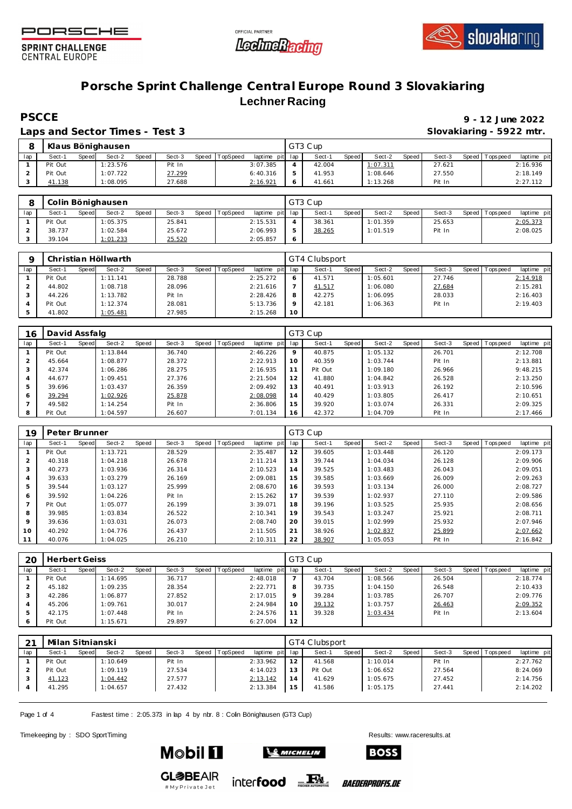





**SPRINT CHALLENGE CENTRAL EUROPE** 

# **Porsche Sprint Challenge Central Europe Round 3 Slovakiaring Lechner Racing**

**Laps and Sector Times - Test 3 Slovakiaring - 5922 mtr.**

| PSCCE                        | 9 - 12 June 2022      |
|------------------------------|-----------------------|
| Lane and Soctor Timos Tost 2 | Slovekiering 5000 mtr |

| 8   |         |       | Klaus Bönighausen |       |        |       |          |                 | GT3 Cup |       |          |       |        |                  |             |
|-----|---------|-------|-------------------|-------|--------|-------|----------|-----------------|---------|-------|----------|-------|--------|------------------|-------------|
| lap | Sect-1  | Speed | Sect-2            | Speed | Sect-3 | Speed | TopSpeed | laptime pit lap | Sect-1  | Speed | Sect-2   | Speed | Sect-3 | Speed   Topspeed | laptime pit |
|     | Pit Out |       | 1:23.576          |       | Pit In |       |          | 3:07.385        | 42.004  |       | 1:07.311 |       | 27.621 |                  | 2:16.936    |
|     | Pit Out |       | 1:07.722          |       | 27.299 |       |          | 6:40.316        | 41.953  |       | 1:08.646 |       | 27.550 |                  | 2:18.149    |
|     | 41.138  |       | 1:08.095          |       | 27.688 |       |          | 2:16.921        | 41.661  |       | 1:13.268 |       | Pit In |                  | 2:27.112    |

|     |         |       | Colin Bönighausen |       |        |                |                 |  | GT3 Cup |       |          |       |        |                 |             |
|-----|---------|-------|-------------------|-------|--------|----------------|-----------------|--|---------|-------|----------|-------|--------|-----------------|-------------|
| lap | Sect-1  | Speed | Sect-2            | Speed | Sect-3 | Speed TopSpeed | laptime pit lap |  | Sect-1  | Speed | Sect-2   | Speed | Sect-3 | Speed Tops peed | laptime pit |
|     | Pit Out |       | 1:05.375          |       | 25.841 |                | 2:15.531        |  | 38.361  |       | 1:01.359 |       | 25.653 |                 | 2:05.373    |
|     | 38.737  |       | 1:02.584          |       | 25.672 |                | 2:06.993        |  | 38.265  |       | 1:01.519 |       | Pit In |                 | 2:08.025    |
|     | 39.104  |       | 1:01.233          |       | 25.520 |                | 2:05.857        |  |         |       |          |       |        |                 |             |

|     |         |       | Christian Höllwarth |       |        |                |                 |         | GT4 Clubsport |              |          |       |        |       |           |             |
|-----|---------|-------|---------------------|-------|--------|----------------|-----------------|---------|---------------|--------------|----------|-------|--------|-------|-----------|-------------|
| lap | Sect-1  | Speed | Sect-2              | Speed | Sect-3 | Speed TopSpeed | laptime pit lap |         | Sect-1        | <b>Speed</b> | Sect-2   | Speed | Sect-3 | Speed | Tops peed | laptime pit |
|     | Pit Out |       | 1:11.141            |       | 28.788 |                | 2:25.272        | O       | 41.571        |              | 1:05.601 |       | 27.746 |       |           | 2:14.918    |
|     | 44.802  |       | 1:08.718            |       | 28.096 |                | 2:21.616        |         | 41.517        |              | 1:06.080 |       | 27.684 |       |           | 2:15.281    |
|     | 44.226  |       | 1:13.782            |       | Pit In |                | 2:28.426        | 8       | 42.275        |              | 1:06.095 |       | 28.033 |       |           | 2:16.403    |
|     | Pit Out |       | 1:12.374            |       | 28.081 |                | 5:13.736        | $\circ$ | 42.181        |              | 1:06.363 |       | Pit In |       |           | 2:19.403    |
|     | 41.802  |       | 1:05.481            |       | 27.985 |                | 2:15.268        | 10      |               |              |          |       |        |       |           |             |

| 16             | David Assfalg |       |          |       |        |              |            |             |     | GT3 Cup |       |          |       |        |       |           |             |
|----------------|---------------|-------|----------|-------|--------|--------------|------------|-------------|-----|---------|-------|----------|-------|--------|-------|-----------|-------------|
| lap            | Sect-1        | Speed | Sect-2   | Speed | Sect-3 | <b>Speed</b> | . TopSpeed | laptime pit | lap | Sect-1  | Speed | Sect-2   | Speed | Sect-3 | Speed | Tops peed | laptime pit |
|                | Pit Out       |       | 1:13.844 |       | 36.740 |              |            | 2:46.226    | 9   | 40.875  |       | 1:05.132 |       | 26.701 |       |           | 2:12.708    |
| $\overline{2}$ | 45.664        |       | 1:08.877 |       | 28.372 |              |            | 2:22.913    | 10  | 40.359  |       | 1:03.744 |       | Pit In |       |           | 2:13.881    |
| 3              | 42.374        |       | 1:06.286 |       | 28.275 |              |            | 2:16.935    | 11  | Pit Out |       | 1:09.180 |       | 26.966 |       |           | 9:48.215    |
| 4              | 44.677        |       | 1:09.451 |       | 27.376 |              |            | 2:21.504    | 12  | 41.880  |       | 1:04.842 |       | 26.528 |       |           | 2:13.250    |
| 5              | 39.696        |       | 1:03.437 |       | 26.359 |              |            | 2:09.492    | 13  | 40.491  |       | 1:03.913 |       | 26.192 |       |           | 2:10.596    |
| 6              | 39.294        |       | 1:02.926 |       | 25.878 |              |            | 2:08.098    | 14  | 40.429  |       | 1:03.805 |       | 26.417 |       |           | 2:10.651    |
|                | 49.582        |       | 1:14.254 |       | Pit In |              |            | 2:36.806    | 15  | 39.920  |       | 1:03.074 |       | 26.331 |       |           | 2:09.325    |
| 8              | Pit Out       |       | 1:04.597 |       | 26.607 |              |            | 7:01.134    | 16  | 42.372  |       | 1:04.709 |       | Pit In |       |           | 2:17.466    |

| 19             | Peter Brunner |       |          |       |        |       |          |             |     | GT3 Cup |       |          |       |        |       |           |             |
|----------------|---------------|-------|----------|-------|--------|-------|----------|-------------|-----|---------|-------|----------|-------|--------|-------|-----------|-------------|
| lap            | Sect-1        | Speed | Sect-2   | Speed | Sect-3 | Speed | TopSpeed | laptime pit | lap | Sect-1  | Speed | Sect-2   | Speed | Sect-3 | Speed | Tops peed | laptime pit |
|                | Pit Out       |       | 1:13.721 |       | 28.529 |       |          | 2:35.487    | 12  | 39.605  |       | 1:03.448 |       | 26.120 |       |           | 2:09.173    |
| 2              | 40.318        |       | 1:04.218 |       | 26.678 |       |          | 2:11.214    | 13  | 39.744  |       | 1:04.034 |       | 26.128 |       |           | 2:09.906    |
| 3              | 40.273        |       | 1:03.936 |       | 26.314 |       |          | 2:10.523    | 14  | 39.525  |       | 1:03.483 |       | 26.043 |       |           | 2:09.051    |
| 4              | 39.633        |       | 1:03.279 |       | 26.169 |       |          | 2:09.081    | 15  | 39.585  |       | 1:03.669 |       | 26.009 |       |           | 2:09.263    |
| 5              | 39.544        |       | 1:03.127 |       | 25.999 |       |          | 2:08.670    | 16  | 39.593  |       | 1:03.134 |       | 26.000 |       |           | 2:08.727    |
| 6              | 39.592        |       | 1:04.226 |       | Pit In |       |          | 2:15.262    | 17  | 39.539  |       | 1:02.937 |       | 27.110 |       |           | 2:09.586    |
| $\overline{7}$ | Pit Out       |       | 1:05.077 |       | 26.199 |       |          | 3:39.071    | 18  | 39.196  |       | 1:03.525 |       | 25.935 |       |           | 2:08.656    |
| 8              | 39.985        |       | 1:03.834 |       | 26.522 |       |          | 2:10.341    | 19  | 39.543  |       | 1:03.247 |       | 25.921 |       |           | 2:08.711    |
| 9              | 39.636        |       | 1:03.031 |       | 26.073 |       |          | 2:08.740    | 20  | 39.015  |       | 1:02.999 |       | 25.932 |       |           | 2:07.946    |
| 10             | 40.292        |       | 1:04.776 |       | 26.437 |       |          | 2:11.505    | 21  | 38.926  |       | 1:02.837 |       | 25.899 |       |           | 2:07.662    |
| 11             | 40.076        |       | 1:04.025 |       | 26.210 |       |          | 2:10.311    | 22  | 38.907  |       | 1:05.053 |       | Pit In |       |           | 2:16.842    |

| 20  | <b>Herbert Geiss</b> |       |          |       |        |                |             |     | GT3 Cup |       |          |       |        |                |             |
|-----|----------------------|-------|----------|-------|--------|----------------|-------------|-----|---------|-------|----------|-------|--------|----------------|-------------|
| lap | Sect-1               | Speed | Sect-2   | Speed | Sect-3 | Speed TopSpeed | laptime pit | lap | Sect-1  | Speed | Sect-2   | Speed | Sect-3 | Speed Topspeed | laptime pit |
|     | Pit Out              |       | 1:14.695 |       | 36.717 |                | 2:48.018    |     | 43.704  |       | 1:08.566 |       | 26.504 |                | 2:18.774    |
|     | 45.182               |       | 1:09.235 |       | 28.354 |                | 2:22.771    | 8   | 39.735  |       | 1:04.150 |       | 26.548 |                | 2:10.433    |
|     | 42.286               |       | 1:06.877 |       | 27.852 |                | 2:17.015    | O   | 39.284  |       | 1:03.785 |       | 26.707 |                | 2:09.776    |
| 4   | 45.206               |       | 1:09.761 |       | 30.017 |                | 2:24.984    | 10  | 39.132  |       | 1:03.757 |       | 26.463 |                | 2:09.352    |
| 5   | 42.175               |       | 1:07.448 |       | Pit In |                | 2:24.576    |     | 39.328  |       | 1:03.434 |       | Pit In |                | 2:13.604    |
|     | Pit Out              |       | 1:15.671 |       | 29.897 |                | 6:27.004    | 12  |         |       |          |       |        |                |             |

| 21  | Milan Sitnianski |       |          |       |        |         |          |             |                | GT4 Clubsport |       |          |       |        |              |            |             |
|-----|------------------|-------|----------|-------|--------|---------|----------|-------------|----------------|---------------|-------|----------|-------|--------|--------------|------------|-------------|
| lap | Sect-1           | Speed | Sect-2   | Speed | Sect-3 | Speed I | TopSpeed | laptime pit | lap            | Sect-1        | Speed | Sect-2   | Speed | Sect-3 | <b>Speed</b> | Tops pee d | laptime pit |
|     | Pit Out          |       | 1:10.649 |       | Pit In |         |          | 2:33.962    | 12             | 41.568        |       | 1:10.014 |       | Pit In |              |            | 2:27.762    |
|     | Pit Out          |       | 1:09.119 |       | 27.534 |         |          | 4:14.023    | 13             | Pit Out       |       | 1:06.652 |       | 27.564 |              |            | 8:24.069    |
|     | 41.123           |       | 1:04.442 |       | 27.577 |         |          | 2:13.142    | $\overline{a}$ | 41.629        |       | 1:05.675 |       | 27.452 |              |            | 2:14.756    |
|     | 41.295           |       | 1:04.657 |       | 27.432 |         |          | 2:13.384    | 15             | 41.586        |       | 1:05.175 |       | 27.441 |              |            | 2:14.202    |
|     |                  |       |          |       |        |         |          |             |                |               |       |          |       |        |              |            |             |

 $\mathcal{L}$  Michelin

Page 1 of 4 Fastest time : 2:05.373 in lap 4 by nbr. 8 : Colin Bönighausen (GT3 Cup)

Timekeeping by : SDO SportTiming Results: [www.raceresults.a](www.raceresults.at)t



**Mobil 1** 



```
BAEDERPROFIS.DE
```
**BOSS**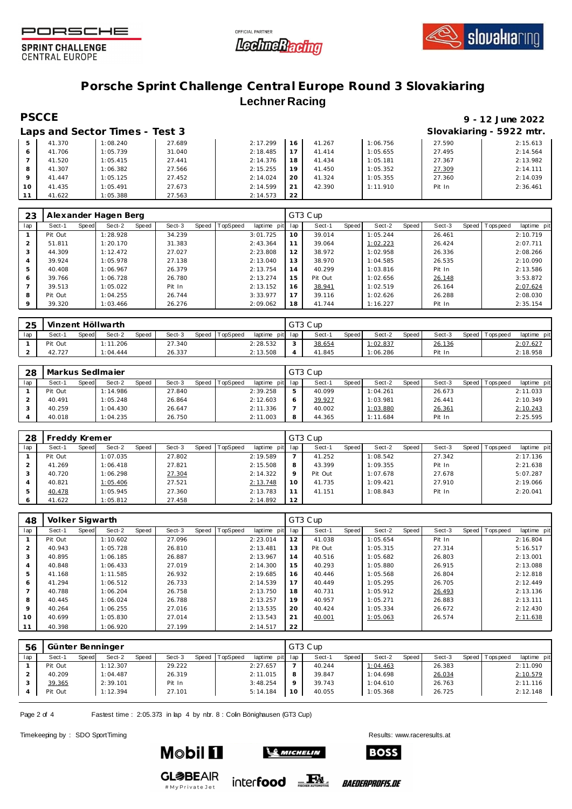





**SPRINT CHALLENGE CENTRAL EUROPE** 

### **Porsche Sprint Challenge Central Europe Round 3 Slovakiaring Lechner Racing**

# **PSCCE 9 - 12 June 2022**

|    |        | Laps and Sector Times - Test 3 |        |          |    |        |          |        | Slovakiaring - 5922 mtr. |
|----|--------|--------------------------------|--------|----------|----|--------|----------|--------|--------------------------|
|    | 41.370 | 1:08.240                       | 27.689 | 2:17.299 | 16 | 41.267 | 1:06.756 | 27.590 | 2:15.613                 |
| 6  | 41.706 | 1:05.739                       | 31.040 | 2:18.485 |    | 41.414 | 1:05.655 | 27.495 | 2:14.564                 |
|    | 41.520 | 1:05.415                       | 27.441 | 2:14.376 | 18 | 41.434 | 1:05.181 | 27.367 | 2:13.982                 |
| 8  | 41.307 | 1:06.382                       | 27.566 | 2:15.255 | 19 | 41.450 | 1:05.352 | 27.309 | 2:14.111                 |
|    | 41.447 | 1:05.125                       | 27.452 | 2:14.024 | 20 | 41.324 | 1:05.355 | 27.360 | 2:14.039                 |
| 10 | 41.435 | 1:05.491                       | 27.673 | 2:14.599 | 21 | 42.390 | 1:11.910 | Pit In | 2:36.461                 |
|    | 41.622 | 1:05.388                       | 27.563 | 2:14.573 | 22 |        |          |        |                          |

| 23             |         |       | Alexander Hagen Berg |       |        |                |             |     | GT3 Cup |       |          |       |        |                |             |
|----------------|---------|-------|----------------------|-------|--------|----------------|-------------|-----|---------|-------|----------|-------|--------|----------------|-------------|
| lap            | Sect-1  | Speed | Sect-2               | Speed | Sect-3 | Speed TopSpeed | laptime pit | lap | Sect-1  | Speed | Sect-2   | Speed | Sect-3 | Speed Topspeed | laptime pit |
|                | Pit Out |       | 1:28.928             |       | 34.239 |                | 3:01.725    | 10  | 39.014  |       | 1:05.244 |       | 26.461 |                | 2:10.719    |
|                | 51.811  |       | 1:20.170             |       | 31.383 |                | 2:43.364    | 11  | 39.064  |       | 1:02.223 |       | 26.424 |                | 2:07.711    |
| 3              | 44.309  |       | 1:12.472             |       | 27.027 |                | 2:23.808    | 12  | 38.972  |       | 1:02.958 |       | 26.336 |                | 2:08.266    |
| $\overline{4}$ | 39.924  |       | 1:05.978             |       | 27.138 |                | 2:13.040    | 13  | 38.970  |       | 1:04.585 |       | 26.535 |                | 2:10.090    |
| 5              | 40.408  |       | 1:06.967             |       | 26.379 |                | 2:13.754    | 14  | 40.299  |       | 1:03.816 |       | Pit In |                | 2:13.586    |
| 6              | 39.766  |       | 1:06.728             |       | 26.780 |                | 2:13.274    | 15  | Pit Out |       | 1:02.656 |       | 26.148 |                | 3:53.872    |
|                | 39.513  |       | 1:05.022             |       | Pit In |                | 2:13.152    | 16  | 38.941  |       | 1:02.519 |       | 26.164 |                | 2:07.624    |
| 8              | Pit Out |       | 1:04.255             |       | 26.744 |                | 3:33.977    | 17  | 39.116  |       | 1:02.626 |       | 26.288 |                | 2:08.030    |
| 9              | 39.320  |       | 1:03.466             |       | 26.276 |                | 2:09.062    | 18  | 41.744  |       | 1:16.227 |       | Pit In |                | 2:35.154    |

| 25  | V١      |       | inzent Höllwarth |       |        |                |             |     | GT3 Cup |       |          |       |        |                 |             |
|-----|---------|-------|------------------|-------|--------|----------------|-------------|-----|---------|-------|----------|-------|--------|-----------------|-------------|
| lap | Sect-'  | Speed | Sect-2           | Speed | Sect-3 | Speed TopSpeed | laptime pit | lap | Sect-1  | Speed | Sect-2   | Speed | Sect-3 | Speed Tops peed | laptime pit |
|     | Pit Out |       | 11.206           |       | 27.340 |                | 2:28.532    |     | 38.654  |       | 1:02.837 |       | 26.136 |                 | 2:07.627    |
|     | 42.727  |       | 1:04.444         |       | 26.337 |                | 2:13.508    |     | 41.845  |       | 1:06.286 |       | Pit In |                 | 2:18.958    |

| 28  |         |       | Markus SedImajer |       |        |       |                 |             |       | GT3 Cup |       |          |       |        |       |            |             |
|-----|---------|-------|------------------|-------|--------|-------|-----------------|-------------|-------|---------|-------|----------|-------|--------|-------|------------|-------------|
| lap | Sect-1  | Speed | Sect-2           | Speed | Sect-3 | Speed | <b>TopSpeed</b> | laptime pit | . lan | Sect-1  | Speed | Sect-2   | Speed | Sect-3 | Speed | Tops pee d | laptime pit |
|     | Pit Out |       | 1:14.986         |       | 27.840 |       |                 | 2:39.258    | b     | 40.099  |       | 1:04.261 |       | 26.673 |       |            | 2:11.033    |
|     | 40.491  |       | 1:05.248         |       | 26.864 |       |                 | 2:12.603    |       | 39.927  |       | 1:03.981 |       | 26.441 |       |            | 2:10.349    |
|     | 40.259  |       | 1:04.430         |       | 26.647 |       |                 | 2:11.336    |       | 40.002  |       | 1:03.880 |       | 26.361 |       |            | 2:10.243    |
|     | 40.018  |       | 1:04.235         |       | 26.750 |       |                 | 2:11.003    |       | 44.365  |       | 1:11.684 |       | Pit In |       |            | 2:25.595    |

| 28  | Freddy Kremer |       |          |       |        |         |          |                 |         | GT3 Cup |       |          |       |        |                 |             |
|-----|---------------|-------|----------|-------|--------|---------|----------|-----------------|---------|---------|-------|----------|-------|--------|-----------------|-------------|
| lap | Sect-1        | Speed | Sect-2   | Speed | Sect-3 | Speed ' | TopSpeed | laptime pit lap |         | Sect-1  | Speed | Sect-2   | Speed | Sect-3 | Speed Tops peed | laptime pit |
|     | Pit Out       |       | 1:07.035 |       | 27.802 |         |          | 2:19.589        |         | 41.252  |       | 1:08.542 |       | 27.342 |                 | 2:17.136    |
|     | 41.269        |       | 1:06.418 |       | 27.821 |         |          | 2:15.508        | 8       | 43.399  |       | 1:09.355 |       | Pit In |                 | 2:21.638    |
|     | 40.720        |       | 1:06.298 |       | 27.304 |         |          | 2:14.322        | $\circ$ | Pit Out |       | 1:07.678 |       | 27.678 |                 | 5:07.287    |
|     | 40.821        |       | 1:05.406 |       | 27.521 |         |          | 2:13.748        | 10      | 41.735  |       | 1:09.421 |       | 27.910 |                 | 2:19.066    |
|     | 40.478        |       | 1:05.945 |       | 27.360 |         |          | 2:13.783        |         | 41.151  |       | 1:08.843 |       | Pit In |                 | 2:20.041    |
|     | 41.622        |       | 1:05.812 |       | 27.458 |         |          | 2:14.892        | 12      |         |       |          |       |        |                 |             |

| 48              | Volker Sigwarth |       |          |       |        |       |                 |             |     | GT3 Cup |       |          |       |        |                |             |
|-----------------|-----------------|-------|----------|-------|--------|-------|-----------------|-------------|-----|---------|-------|----------|-------|--------|----------------|-------------|
| lap             | Sect-1          | Speed | Sect-2   | Speed | Sect-3 | Speed | <b>TopSpeed</b> | laptime pit | lap | Sect-1  | Speed | Sect-2   | Speed | Sect-3 | Speed Topspeed | laptime pit |
|                 | Pit Out         |       | 1:10.602 |       | 27.096 |       |                 | 2:23.014    | 12  | 41.038  |       | 1:05.654 |       | Pit In |                | 2:16.804    |
| $\overline{2}$  | 40.943          |       | 1:05.728 |       | 26.810 |       |                 | 2:13.481    | 13  | Pit Out |       | 1:05.315 |       | 27.314 |                | 5:16.517    |
| 3               | 40.895          |       | 1:06.185 |       | 26.887 |       |                 | 2:13.967    | 14  | 40.516  |       | 1:05.682 |       | 26.803 |                | 2:13.001    |
| 4               | 40.848          |       | 1:06.433 |       | 27.019 |       |                 | 2:14.300    | 15  | 40.293  |       | 1:05.880 |       | 26.915 |                | 2:13.088    |
| 5               | 41.168          |       | 1:11.585 |       | 26.932 |       |                 | 2:19.685    | 16  | 40.446  |       | 1:05.568 |       | 26.804 |                | 2:12.818    |
| 6               | 41.294          |       | 1:06.512 |       | 26.733 |       |                 | 2:14.539    | 17  | 40.449  |       | 1:05.295 |       | 26.705 |                | 2:12.449    |
|                 | 40.788          |       | 1:06.204 |       | 26.758 |       |                 | 2:13.750    | 18  | 40.731  |       | 1:05.912 |       | 26.493 |                | 2:13.136    |
| 8               | 40.445          |       | 1:06.024 |       | 26.788 |       |                 | 2:13.257    | 19  | 40.957  |       | 1:05.271 |       | 26.883 |                | 2:13.111    |
| 9               | 40.264          |       | 1:06.255 |       | 27.016 |       |                 | 2:13.535    | 20  | 40.424  |       | 1:05.334 |       | 26.672 |                | 2:12.430    |
| 10 <sup>°</sup> | 40.699          |       | 1:05.830 |       | 27.014 |       |                 | 2:13.543    | 21  | 40.001  |       | 1:05.063 |       | 26.574 |                | 2:11.638    |
| 11              | 40.398          |       | 1:06.920 |       | 27.199 |       |                 | 2:14.517    | 22  |         |       |          |       |        |                |             |

| 56  |         |       | Günter Benninger |       |        |                |                 |                 | GT3 Cup |              |          |       |        |       |            |             |
|-----|---------|-------|------------------|-------|--------|----------------|-----------------|-----------------|---------|--------------|----------|-------|--------|-------|------------|-------------|
| lap | Sect-1  | Speed | Sect-2           | Speed | Sect-3 | Speed TopSpeed | laptime pit lap |                 | Sect-1  | <b>Speed</b> | Sect-2   | Speed | Sect-3 | Speed | Tops pee d | laptime pit |
|     | Pit Out |       | 1:12.307         |       | 29.222 |                | 2:27.657        |                 | 40.244  |              | 1:04.463 |       | 26.383 |       |            | 2:11.090    |
|     | 40.209  |       | 1:04.487         |       | 26.319 |                | 2:11.015        | 8               | 39.847  |              | 1:04.698 |       | 26.034 |       |            | 2:10.579    |
|     | 39.365  |       | 2:39.101         |       | Pit In |                | 3:48.254        | $\circ$         | 39.743  |              | 1:04.610 |       | 26.763 |       |            | 2:11.116    |
|     | Pit Out |       | 1:12.394         |       | 27.101 |                | 5:14.184        | 10 <sup>°</sup> | 40.055  |              | 1:05.368 |       | 26.725 |       |            | 2:12.148    |
|     |         |       |                  |       |        |                |                 |                 |         |              |          |       |        |       |            |             |

Page 2 of 4 Fastest time : 2:05.373 in lap 4 by nbr. 8 : Colin Bönighausen (GT3 Cup)

Timekeeping by : SDO SportTiming Results: [www.raceresults.a](www.raceresults.at)t



**Mobil 11** 



 $\mathcal{L}$  Michelin

*BAEDERPROFIS.DE* 

**BOSS**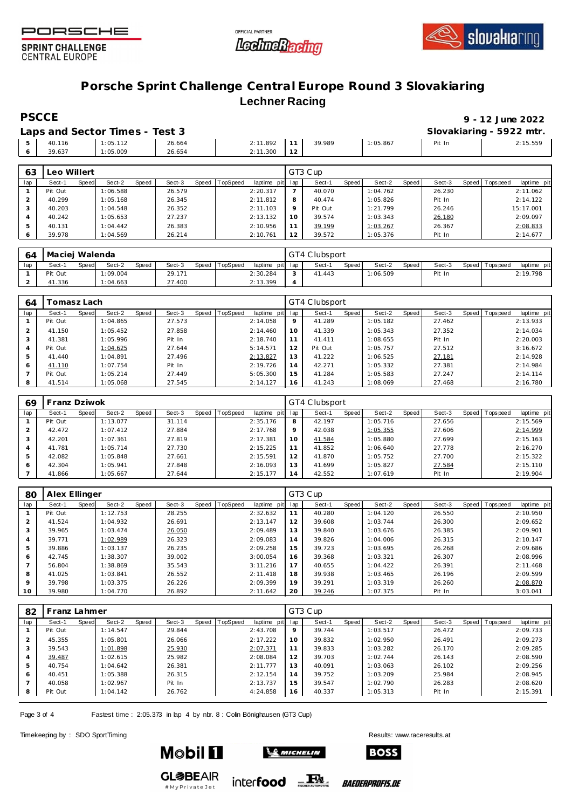





**SPRINT CHALLENGE CENTRAL EUROPE** 

### **Porsche Sprint Challenge Central Europe Round 3 Slovakiaring Lechner Racing**

|    | <b>PSCCE</b> |                                |        |          |    |           |          |        | 9 - 12 June 2022         |
|----|--------------|--------------------------------|--------|----------|----|-----------|----------|--------|--------------------------|
|    |              | Laps and Sector Times - Test 3 |        |          |    |           |          |        | Slovakiaring - 5922 mtr. |
|    | 40.116       | 1:05.112                       | 26.664 | 2:11.892 | 11 | 39.989    | 1:05.867 | Pit In | 2:15.559                 |
|    | 39.637       | 1:05.009                       | 26.654 | 2:11.300 | 12 |           |          |        |                          |
|    |              |                                |        |          |    |           |          |        |                          |
| 63 | Leo Willert  |                                |        |          |    | $GTS$ Cup |          |        |                          |

| 63  | Leo Willert |       |          |       |        |       |          |             |         | GT3 Cup |       |          |       |        |                   |             |
|-----|-------------|-------|----------|-------|--------|-------|----------|-------------|---------|---------|-------|----------|-------|--------|-------------------|-------------|
| lap | Sect-1      | Speed | Sect-2   | Speed | Sect-3 | Speed | TopSpeed | laptime pit | lap     | Sect-1  | Speed | Sect-2   | Speed | Sect-3 | Speed   Tops peed | laptime pit |
|     | Pit Out     |       | 1:06.588 |       | 26.579 |       |          | 2:20.317    |         | 40.070  |       | 1:04.762 |       | 26.230 |                   | 2:11.062    |
|     | 40.299      |       | 1:05.168 |       | 26.345 |       |          | 2:11.812    |         | 40.474  |       | 1:05.826 |       | Pit In |                   | 2:14.122    |
|     | 40.203      |       | 1:04.548 |       | 26.352 |       |          | 2:11.103    | $\circ$ | Pit Out |       | 1:21.799 |       | 26.246 |                   | 15:17.001   |
|     | 40.242      |       | 1:05.653 |       | 27.237 |       |          | 2:13.132    | 10      | 39.574  |       | 1:03.343 |       | 26.180 |                   | 2:09.097    |
|     | 40.131      |       | 1:04.442 |       | 26.383 |       |          | 2:10.956    |         | 39.199  |       | 1:03.267 |       | 26.367 |                   | 2:08.833    |
|     | 39.978      |       | 1:04.569 |       | 26.214 |       |          | 2:10.761    |         | 39.572  |       | 1:05.376 |       | Pit In |                   | 2:14.677    |

| 64  | Maciej Walenda |       |          |       |        |                |                 |                | GT4 Clubsport |              |          |       |        |                 |             |
|-----|----------------|-------|----------|-------|--------|----------------|-----------------|----------------|---------------|--------------|----------|-------|--------|-----------------|-------------|
| lap | Sect-1         | Speed | Sect-2   | Speed | Sect-3 | Speed TopSpeed | laptime pit lap |                | Sect-         | <b>Speed</b> | Sect-2   | Speed | Sect-3 | Speed Tops peed | laptime pit |
|     | Pit Out        |       | 1:09.004 |       | 29.171 |                | 2:30.284        | $\overline{ }$ | 41.443        |              | 1:06.509 |       | Pit In |                 | 2:19.798    |
|     | 1.336          |       | :04.663  |       | 27.400 |                | 2:13.399        |                |               |              |          |       |        |                 |             |

| 64  | Fomasz Lach |       |          |       |        |       |          |             |         | GT4 Clubsport |       |          |       |        |         |            |             |
|-----|-------------|-------|----------|-------|--------|-------|----------|-------------|---------|---------------|-------|----------|-------|--------|---------|------------|-------------|
| lap | Sect-1      | Speed | Sect-2   | Speed | Sect-3 | Speed | TopSpeed | laptime pit | lap     | Sect-1        | Speed | Sect-2   | Speed | Sect-3 | Speed I | T ops peed | laptime pit |
|     | Pit Out     |       | 1:04.865 |       | 27.573 |       |          | 2:14.058    | $\circ$ | 41.289        |       | 1:05.182 |       | 27.462 |         |            | 2:13.933    |
|     | 41.150      |       | 1:05.452 |       | 27.858 |       |          | 2:14.460    | 10      | 41.339        |       | 1:05.343 |       | 27.352 |         |            | 2:14.034    |
|     | 41.381      |       | 1:05.996 |       | Pit In |       |          | 2:18.740    | 11      | 41.411        |       | 1:08.655 |       | Pit In |         |            | 2:20.003    |
|     | Pit Out     |       | 1:04.625 |       | 27.644 |       |          | 5:14.571    | 12      | Pit Out       |       | 1:05.757 |       | 27.512 |         |            | 3:16.672    |
|     | 41.440      |       | 1:04.891 |       | 27.496 |       |          | 2:13.827    | 13      | 41.222        |       | 1:06.525 |       | 27.181 |         |            | 2:14.928    |
| 6   | 41.110      |       | 1:07.754 |       | Pit In |       |          | 2:19.726    | 14      | 42.271        |       | 1:05.332 |       | 27.381 |         |            | 2:14.984    |
|     | Pit Out     |       | 1:05.214 |       | 27.449 |       |          | 5:05.300    | 15      | 41.284        |       | 1:05.583 |       | 27.247 |         |            | 2:14.114    |
| 8   | 41.514      |       | 1:05.068 |       | 27.545 |       |          | 2:14.127    | 16      | 41.243        |       | 1:08.069 |       | 27.468 |         |            | 2:16.780    |

| 69  | Franz Dziwok |       |          |       |        |         |                 |             |         | GT4 Clubsport |       |          |       |        |                 |             |
|-----|--------------|-------|----------|-------|--------|---------|-----------------|-------------|---------|---------------|-------|----------|-------|--------|-----------------|-------------|
| lap | Sect-1       | Speed | Sect-2   | Speed | Sect-3 | Speed T | <b>TopSpeed</b> | laptime pit | lap     | Sect-1        | Speed | Sect-2   | Speed | Sect-3 | Speed Tops peed | laptime pit |
|     | Pit Out      |       | 1:13.077 |       | 31.114 |         |                 | 2:35.176    | 8       | 42.197        |       | 1:05.716 |       | 27.656 |                 | 2:15.569    |
|     | 42.472       |       | 1:07.412 |       | 27.884 |         |                 | 2:17.768    | $\circ$ | 42.038        |       | 1:05.355 |       | 27.606 |                 | 2:14.999    |
| 3   | 42.201       |       | 1:07.361 |       | 27.819 |         |                 | 2:17.381    | 10      | 41.584        |       | 1:05.880 |       | 27.699 |                 | 2:15.163    |
| 4   | 41.781       |       | 1:05.714 |       | 27.730 |         |                 | 2:15.225    | 11      | 41.852        |       | 1:06.640 |       | 27.778 |                 | 2:16.270    |
| 5   | 42.082       |       | 1:05.848 |       | 27.661 |         |                 | 2:15.591    | 12      | 41.870        |       | 1:05.752 |       | 27.700 |                 | 2:15.322    |
| 6   | 42.304       |       | 1:05.941 |       | 27.848 |         |                 | 2:16.093    | 13      | 41.699        |       | 1:05.827 |       | 27.584 |                 | 2:15.110    |
|     | 41.866       |       | 1:05.667 |       | 27.644 |         |                 | 2:15.177    | 14      | 42.552        |       | 1:07.619 |       | Pit In |                 | 2:19.904    |

| 80      | Alex Ellinger |       |          |       |        |       |          |                 |    | GT3 Cup |       |          |       |        |                |             |
|---------|---------------|-------|----------|-------|--------|-------|----------|-----------------|----|---------|-------|----------|-------|--------|----------------|-------------|
| lap     | Sect-1        | Speed | Sect-2   | Speed | Sect-3 | Speed | TopSpeed | laptime pit lap |    | Sect-1  | Speed | Sect-2   | Speed | Sect-3 | Speed Topspeed | laptime pit |
|         | Pit Out       |       | 1:12.753 |       | 28.255 |       |          | 2:32.632        | 11 | 40.280  |       | 1:04.120 |       | 26.550 |                | 2:10.950    |
|         | 41.524        |       | 1:04.932 |       | 26.691 |       |          | 2:13.147        | 12 | 39.608  |       | 1:03.744 |       | 26.300 |                | 2:09.652    |
| 3       | 39.965        |       | 1:03.474 |       | 26.050 |       |          | 2:09.489        | 13 | 39.840  |       | 1:03.676 |       | 26.385 |                | 2:09.901    |
|         | 39.771        |       | 1:02.989 |       | 26.323 |       |          | 2:09.083        | 14 | 39.826  |       | 1:04.006 |       | 26.315 |                | 2:10.147    |
| 5       | 39.886        |       | 1:03.137 |       | 26.235 |       |          | 2:09.258        | 15 | 39.723  |       | 1:03.695 |       | 26.268 |                | 2:09.686    |
| 6       | 42.745        |       | 1:38.307 |       | 39.002 |       |          | 3:00.054        | 16 | 39.368  |       | 1:03.321 |       | 26.307 |                | 2:08.996    |
|         | 56.804        |       | 1:38.869 |       | 35.543 |       |          | 3:11.216        | 17 | 40.655  |       | 1:04.422 |       | 26.391 |                | 2:11.468    |
| 8       | 41.025        |       | 1:03.841 |       | 26.552 |       |          | 2:11.418        | 18 | 39.938  |       | 1:03.465 |       | 26.196 |                | 2:09.599    |
| $\circ$ | 39.798        |       | 1:03.375 |       | 26.226 |       |          | 2:09.399        | 19 | 39.291  |       | 1:03.319 |       | 26.260 |                | 2:08.870    |
| 10      | 39.980        |       | 1:04.770 |       | 26.892 |       |          | 2:11.642        | 20 | 39.246  |       | 1:07.375 |       | Pit In |                | 3:03.041    |

| 82  | Franz Lahmer |       |          |       |        |       |          |             |     | GT3 Cup |       |          |       |        |                 |             |
|-----|--------------|-------|----------|-------|--------|-------|----------|-------------|-----|---------|-------|----------|-------|--------|-----------------|-------------|
| lap | Sect-1       | Speed | Sect-2   | Speed | Sect-3 | Speed | TopSpeed | laptime pit | lap | Sect-1  | Speed | Sect-2   | Speed | Sect-3 | Speed Tops peed | laptime pit |
|     | Pit Out      |       | 1:14.547 |       | 29.844 |       |          | 2:43.708    | 9   | 39.744  |       | 1:03.517 |       | 26.472 |                 | 2:09.733    |
|     | 45.355       |       | 1:05.801 |       | 26.066 |       |          | 2:17.222    | 10  | 39.832  |       | 1:02.950 |       | 26.491 |                 | 2:09.273    |
|     | 39.543       |       | 1:01.898 |       | 25.930 |       |          | 2:07.371    | 11  | 39.833  |       | 1:03.282 |       | 26.170 |                 | 2:09.285    |
| 4   | 39.487       |       | 1:02.615 |       | 25.982 |       |          | 2:08.084    | 12  | 39.703  |       | 1:02.744 |       | 26.143 |                 | 2:08.590    |
|     | 40.754       |       | 1:04.642 |       | 26.381 |       |          | 2:11.777    | 13  | 40.091  |       | 1:03.063 |       | 26.102 |                 | 2:09.256    |
| 6   | 40.451       |       | 1:05.388 |       | 26.315 |       |          | 2:12.154    | 14  | 39.752  |       | 1:03.209 |       | 25.984 |                 | 2:08.945    |
|     | 40.058       |       | 1:02.967 |       | Pit In |       |          | 2:13.737    | 15  | 39.547  |       | 1:02.790 |       | 26.283 |                 | 2:08.620    |
| 8   | Pit Out      |       | 1:04.142 |       | 26.762 |       |          | 4:24.858    | 16  | 40.337  |       | 1:05.313 |       | Pit In |                 | 2:15.391    |

inter**food** EX

Page 3 of 4 Fastest time : 2:05.373 in lap 4 by nbr. 8 : Colin Bönighausen (GT3 Cup)

Timekeeping by : SDO SportTiming Results: [www.raceresults.a](www.raceresults.at)t



**Mobil 11** 



*BAEDERPROFIS.DE* 

**BOSS**